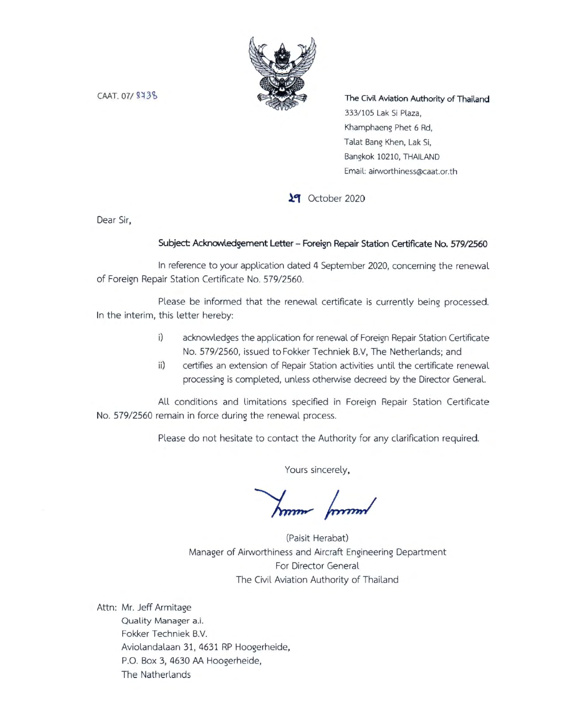

 $CAAT.07/9438$ 

The Civil Aviation Authority of Thailand 333/105 Lak Si Plaza, Khamphaeng Phet 6 Rd, Talat Bang Khen, Lak Si, Bangkok 10210, THAILAND Email: airworthiness@caat.or.th

**lack** October 2020

Dear Sir,

#### Subject: Acknowledgement Letter - Foreign Repair Station Certificate No. 579/2560

In reference to your application dated 4 September 2020, concerning the renewal of Foreign Repair Station Certificate No. 579/2560.

Please be informed that the renewal certificate is currently being processed. In the interim, this letter hereby:

- i) acknowledges the application for renewal of Foreign Repair Station Certificate No. 579/2560, issued to Fokker Techniek B.V, The Netherlands; and
- ii) certifies an extension of Repair Station activities until the certificate renewal processing is completed, unless otherwise decreed by the Director General.

All conditions and limitations specified in Foreign Repair Station Certificate **No.** 579/2560 remain in force during the renewal process.

Please do not hesitate to contact the Authority for any clarification required.

Yours sincerely,

Jum formul

(Paisit Herabat) Manager of Airworthiness and Aircraft Engineering Department For Director General The Civil Aviation Authority of Thailand

Attn: Mr. Jeff Armitage Quality Manager a.i. Fokker Techniek B.V. Aviolandalaan 31, 4631 RP Hoogerheide, P.O. Box 3, 4630 AA Hoogerheide, The Natherlands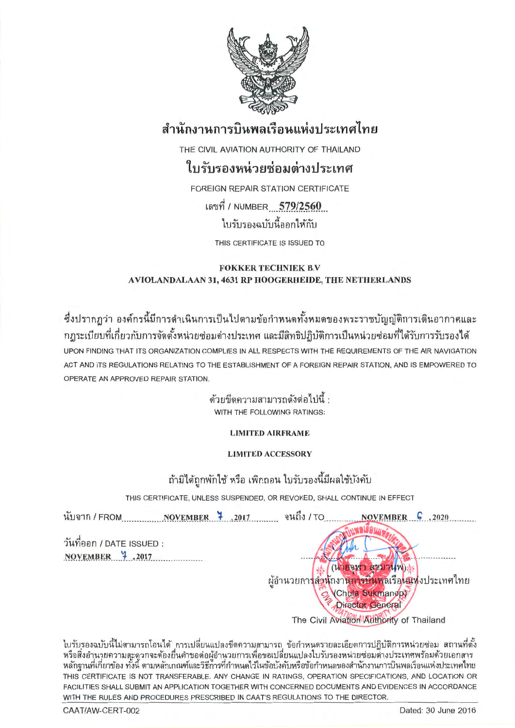

# สำนักงานการบินพลเรือนแห่งประเทศไทย

THE CIVIL AVIATION AUTHORITY OF THAILAND

### ใบรับรองหน่วยซ่อมต่างประเทศ

**FOREIGN REPAIR STATION CERTIFICATE** เลขที่ / NUMBER 579/2560 ใบรับรองฉบับนี้ออกให้กับ

THIS CERTIFICATE IS ISSUED TO

#### **FOKKER TECHNIEK B.V.** AVIOLANDALAAN 31, 4631 RP HOOGERHEIDE, THE NETHERLANDS

ซึ่งปรากฏว่า องค์กรนี้มีการดำเนินการเป็นไปตามข้อกำหนดทั้งหมดของพระราชบัญญัติการเดินอากาศและ ึกฎระเบียบที่เกี่ยวกับการจัดตั้งหน่วยซ่อมต่างประเทศ และมีสิทธิปฏิบัติการเป็นหน่วยซ่อมที่ได้รับการรับรองได้ UPON FINDING THAT ITS ORGANIZATION COMPLIES IN ALL RESPECTS WITH THE REQUIREMENTS OF THE AIR NAVIGATION ACT AND ITS REGULATIONS RELATING TO THE ESTABLISHMENT OF A FOREIGN REPAIR STATION, AND IS EMPOWERED TO OPERATE AN APPROVED REPAIR STATION.

> ด้วยขีดความสามารถดังต่อไปนี้ : WITH THE FOLLOWING RATINGS:

> > **LIMITED AIRFRAME**

### **LIMITED ACCESSORY**

### ถ้ามิได้ถูกพักใช้ หรือ เพิกถอน ใบรับรองนี้มีผลใช้บังคับ

THIS CERTIFICATE, UNLESS SUSPENDED, OR REVOKED, SHALL CONTINUE IN EFFECT

นับจาก / FROM NOVEMBER 7 2017 จนถึง / TO NOVEMBER  $\int$ , 2020 วันที่ออก / DATE ISSUED : NOVEMBER 7,2017 (นายจุฬา สุขมานพ) : ผู้อำนวยกา<mark>รสำนักงานการบินพ</mark>ลเรือ<mark>นแห่</mark>งประเทศไทย (Chula Sukmanop) **Director General** The Civil Aviation Authority of Thailand

ใบรับรองฉบับนี้ไม่สามารถโอนได้ การเปลี่ยนแปลงขีดความสามารถ ข้อกำหนดรายละเอียดการปฏิบัติการหน่วยซ่อม สถานที่ตั้ง หรือสิ่งอำนวยความสะดวกจะต้องยื่นคำขอต่อผู้อำนวยการเพื่อขอเปลี่ยนแปลงใบรับรองหน่วยซ่อมต่างประเทศพร้อมด้วยเอกสาร<br>หลักฐานที่เกี่ยวข้อง ทั้งนี้ ตามหลักเกณฑ์และวิธีการที่กำหนดไว้ในข้อบังคับหรือข้อกำหนดของสำนักงานการบินพลเรือนแ THIS CERTIFICATE IS NOT TRANSFERABLE. ANY CHANGE IN RATINGS, OPERATION SPECIFICATIONS, AND LOCATION OR FACILITIES SHALL SUBMIT AN APPLICATION TOGETHER WITH CONCERNED DOCUMENTS AND EVIDENCES IN ACCORDANCE WITH THE RULES AND PROCEDURES PRESCRIBED IN CAAT'S REGULATIONS TO THE DIRECTOR.